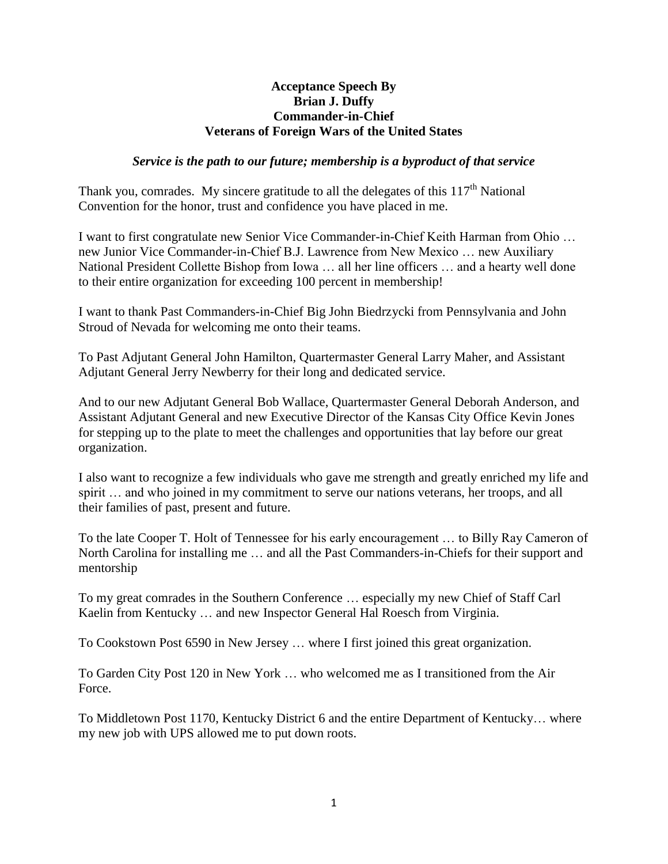## **Acceptance Speech By Brian J. Duffy Commander-in-Chief Veterans of Foreign Wars of the United States**

## *Service is the path to our future; membership is a byproduct of that service*

Thank you, comrades. My sincere gratitude to all the delegates of this  $117<sup>th</sup>$  National Convention for the honor, trust and confidence you have placed in me.

I want to first congratulate new Senior Vice Commander-in-Chief Keith Harman from Ohio … new Junior Vice Commander-in-Chief B.J. Lawrence from New Mexico … new Auxiliary National President Collette Bishop from Iowa … all her line officers … and a hearty well done to their entire organization for exceeding 100 percent in membership!

I want to thank Past Commanders-in-Chief Big John Biedrzycki from Pennsylvania and John Stroud of Nevada for welcoming me onto their teams.

To Past Adjutant General John Hamilton, Quartermaster General Larry Maher, and Assistant Adjutant General Jerry Newberry for their long and dedicated service.

And to our new Adjutant General Bob Wallace, Quartermaster General Deborah Anderson, and Assistant Adjutant General and new Executive Director of the Kansas City Office Kevin Jones for stepping up to the plate to meet the challenges and opportunities that lay before our great organization.

I also want to recognize a few individuals who gave me strength and greatly enriched my life and spirit … and who joined in my commitment to serve our nations veterans, her troops, and all their families of past, present and future.

To the late Cooper T. Holt of Tennessee for his early encouragement … to Billy Ray Cameron of North Carolina for installing me … and all the Past Commanders-in-Chiefs for their support and mentorship

To my great comrades in the Southern Conference … especially my new Chief of Staff Carl Kaelin from Kentucky … and new Inspector General Hal Roesch from Virginia.

To Cookstown Post 6590 in New Jersey … where I first joined this great organization.

To Garden City Post 120 in New York … who welcomed me as I transitioned from the Air Force.

To Middletown Post 1170, Kentucky District 6 and the entire Department of Kentucky… where my new job with UPS allowed me to put down roots.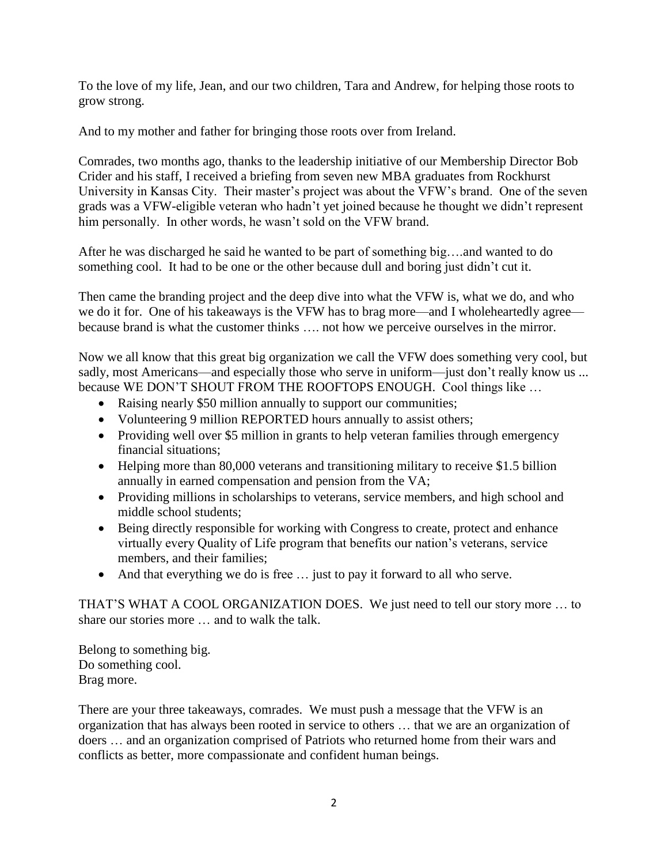To the love of my life, Jean, and our two children, Tara and Andrew, for helping those roots to grow strong.

And to my mother and father for bringing those roots over from Ireland.

Comrades, two months ago, thanks to the leadership initiative of our Membership Director Bob Crider and his staff, I received a briefing from seven new MBA graduates from Rockhurst University in Kansas City. Their master's project was about the VFW's brand. One of the seven grads was a VFW-eligible veteran who hadn't yet joined because he thought we didn't represent him personally. In other words, he wasn't sold on the VFW brand.

After he was discharged he said he wanted to be part of something big….and wanted to do something cool. It had to be one or the other because dull and boring just didn't cut it.

Then came the branding project and the deep dive into what the VFW is, what we do, and who we do it for. One of his takeaways is the VFW has to brag more—and I wholeheartedly agree because brand is what the customer thinks …. not how we perceive ourselves in the mirror.

Now we all know that this great big organization we call the VFW does something very cool, but sadly, most Americans—and especially those who serve in uniform—just don't really know us ... because WE DON'T SHOUT FROM THE ROOFTOPS ENOUGH. Cool things like …

- Raising nearly \$50 million annually to support our communities;
- Volunteering 9 million REPORTED hours annually to assist others;
- Providing well over \$5 million in grants to help veteran families through emergency financial situations;
- Helping more than 80,000 veterans and transitioning military to receive \$1.5 billion annually in earned compensation and pension from the VA;
- Providing millions in scholarships to veterans, service members, and high school and middle school students;
- Being directly responsible for working with Congress to create, protect and enhance virtually every Quality of Life program that benefits our nation's veterans, service members, and their families;
- And that everything we do is free … just to pay it forward to all who serve.

THAT'S WHAT A COOL ORGANIZATION DOES. We just need to tell our story more … to share our stories more … and to walk the talk.

Belong to something big. Do something cool. Brag more.

There are your three takeaways, comrades. We must push a message that the VFW is an organization that has always been rooted in service to others … that we are an organization of doers … and an organization comprised of Patriots who returned home from their wars and conflicts as better, more compassionate and confident human beings.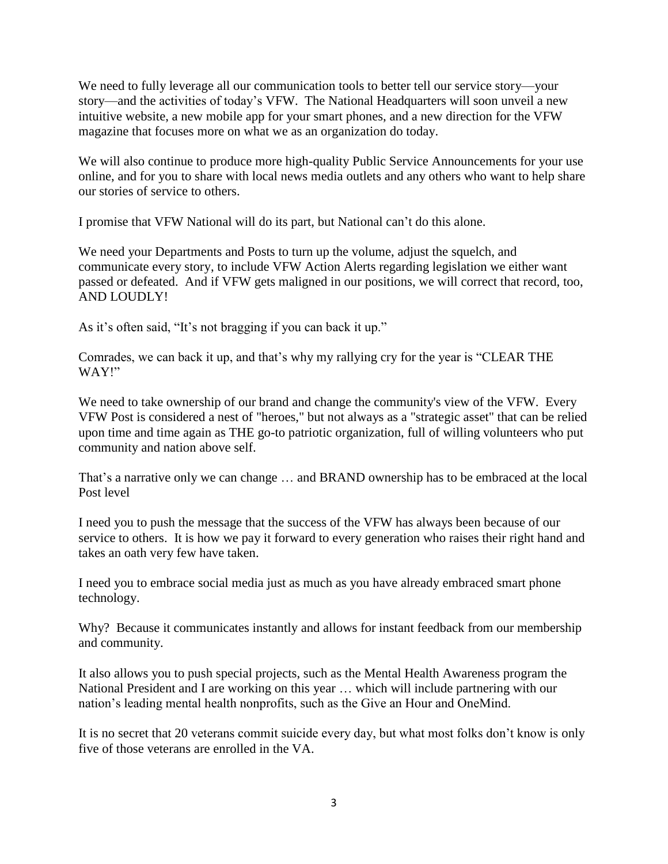We need to fully leverage all our communication tools to better tell our service story—your story—and the activities of today's VFW. The National Headquarters will soon unveil a new intuitive website, a new mobile app for your smart phones, and a new direction for the VFW magazine that focuses more on what we as an organization do today.

We will also continue to produce more high-quality Public Service Announcements for your use online, and for you to share with local news media outlets and any others who want to help share our stories of service to others.

I promise that VFW National will do its part, but National can't do this alone.

We need your Departments and Posts to turn up the volume, adjust the squelch, and communicate every story, to include VFW Action Alerts regarding legislation we either want passed or defeated. And if VFW gets maligned in our positions, we will correct that record, too, AND LOUDLY!

As it's often said, "It's not bragging if you can back it up."

Comrades, we can back it up, and that's why my rallying cry for the year is "CLEAR THE WAY!"

We need to take ownership of our brand and change the community's view of the VFW. Every VFW Post is considered a nest of "heroes," but not always as a "strategic asset" that can be relied upon time and time again as THE go-to patriotic organization, full of willing volunteers who put community and nation above self.

That's a narrative only we can change … and BRAND ownership has to be embraced at the local Post level

I need you to push the message that the success of the VFW has always been because of our service to others. It is how we pay it forward to every generation who raises their right hand and takes an oath very few have taken.

I need you to embrace social media just as much as you have already embraced smart phone technology.

Why? Because it communicates instantly and allows for instant feedback from our membership and community.

It also allows you to push special projects, such as the Mental Health Awareness program the National President and I are working on this year … which will include partnering with our nation's leading mental health nonprofits, such as the Give an Hour and OneMind.

It is no secret that 20 veterans commit suicide every day, but what most folks don't know is only five of those veterans are enrolled in the VA.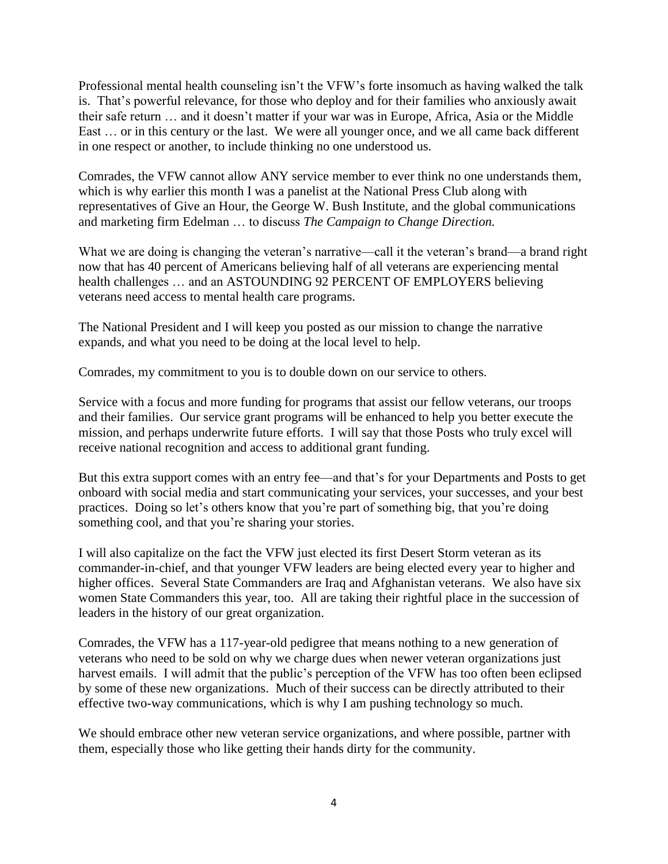Professional mental health counseling isn't the VFW's forte insomuch as having walked the talk is. That's powerful relevance, for those who deploy and for their families who anxiously await their safe return … and it doesn't matter if your war was in Europe, Africa, Asia or the Middle East … or in this century or the last. We were all younger once, and we all came back different in one respect or another, to include thinking no one understood us.

Comrades, the VFW cannot allow ANY service member to ever think no one understands them, which is why earlier this month I was a panelist at the National Press Club along with representatives of Give an Hour, the George W. Bush Institute, and the global communications and marketing firm Edelman … to discuss *The Campaign to Change Direction.* 

What we are doing is changing the veteran's narrative—call it the veteran's brand—a brand right now that has 40 percent of Americans believing half of all veterans are experiencing mental health challenges … and an ASTOUNDING 92 PERCENT OF EMPLOYERS believing veterans need access to mental health care programs.

The National President and I will keep you posted as our mission to change the narrative expands, and what you need to be doing at the local level to help.

Comrades, my commitment to you is to double down on our service to others.

Service with a focus and more funding for programs that assist our fellow veterans, our troops and their families. Our service grant programs will be enhanced to help you better execute the mission, and perhaps underwrite future efforts. I will say that those Posts who truly excel will receive national recognition and access to additional grant funding.

But this extra support comes with an entry fee—and that's for your Departments and Posts to get onboard with social media and start communicating your services, your successes, and your best practices. Doing so let's others know that you're part of something big, that you're doing something cool, and that you're sharing your stories.

I will also capitalize on the fact the VFW just elected its first Desert Storm veteran as its commander-in-chief, and that younger VFW leaders are being elected every year to higher and higher offices. Several State Commanders are Iraq and Afghanistan veterans. We also have six women State Commanders this year, too. All are taking their rightful place in the succession of leaders in the history of our great organization.

Comrades, the VFW has a 117-year-old pedigree that means nothing to a new generation of veterans who need to be sold on why we charge dues when newer veteran organizations just harvest emails. I will admit that the public's perception of the VFW has too often been eclipsed by some of these new organizations. Much of their success can be directly attributed to their effective two-way communications, which is why I am pushing technology so much.

We should embrace other new veteran service organizations, and where possible, partner with them, especially those who like getting their hands dirty for the community.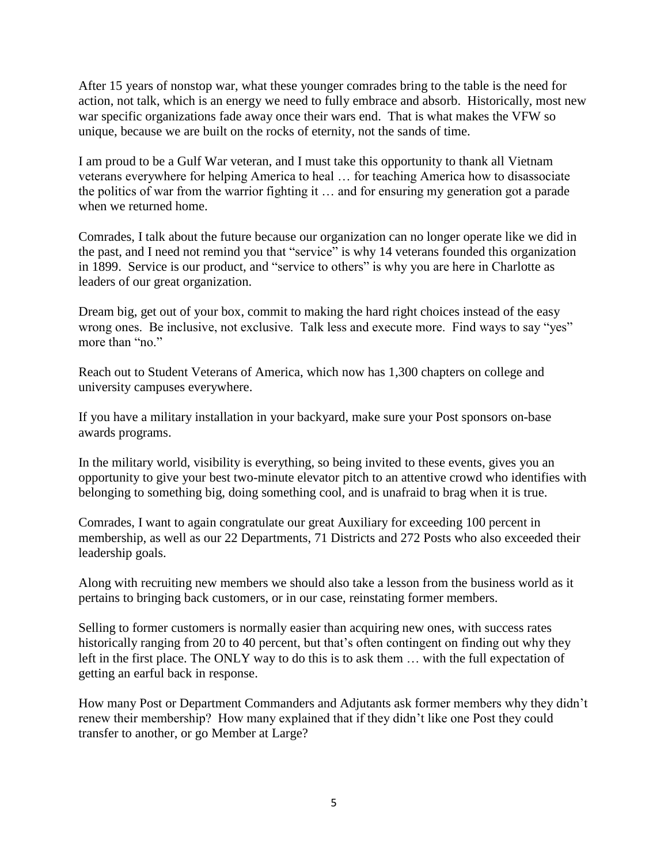After 15 years of nonstop war, what these younger comrades bring to the table is the need for action, not talk, which is an energy we need to fully embrace and absorb. Historically, most new war specific organizations fade away once their wars end. That is what makes the VFW so unique, because we are built on the rocks of eternity, not the sands of time.

I am proud to be a Gulf War veteran, and I must take this opportunity to thank all Vietnam veterans everywhere for helping America to heal … for teaching America how to disassociate the politics of war from the warrior fighting it … and for ensuring my generation got a parade when we returned home.

Comrades, I talk about the future because our organization can no longer operate like we did in the past, and I need not remind you that "service" is why 14 veterans founded this organization in 1899. Service is our product, and "service to others" is why you are here in Charlotte as leaders of our great organization.

Dream big, get out of your box, commit to making the hard right choices instead of the easy wrong ones. Be inclusive, not exclusive. Talk less and execute more. Find ways to say "yes" more than "no."

Reach out to Student Veterans of America, which now has 1,300 chapters on college and university campuses everywhere.

If you have a military installation in your backyard, make sure your Post sponsors on-base awards programs.

In the military world, visibility is everything, so being invited to these events, gives you an opportunity to give your best two-minute elevator pitch to an attentive crowd who identifies with belonging to something big, doing something cool, and is unafraid to brag when it is true.

Comrades, I want to again congratulate our great Auxiliary for exceeding 100 percent in membership, as well as our 22 Departments, 71 Districts and 272 Posts who also exceeded their leadership goals.

Along with recruiting new members we should also take a lesson from the business world as it pertains to bringing back customers, or in our case, reinstating former members.

Selling to former customers is normally easier than acquiring new ones, with success rates historically ranging from 20 to 40 percent, but that's often contingent on finding out why they left in the first place. The ONLY way to do this is to ask them … with the full expectation of getting an earful back in response.

How many Post or Department Commanders and Adjutants ask former members why they didn't renew their membership? How many explained that if they didn't like one Post they could transfer to another, or go Member at Large?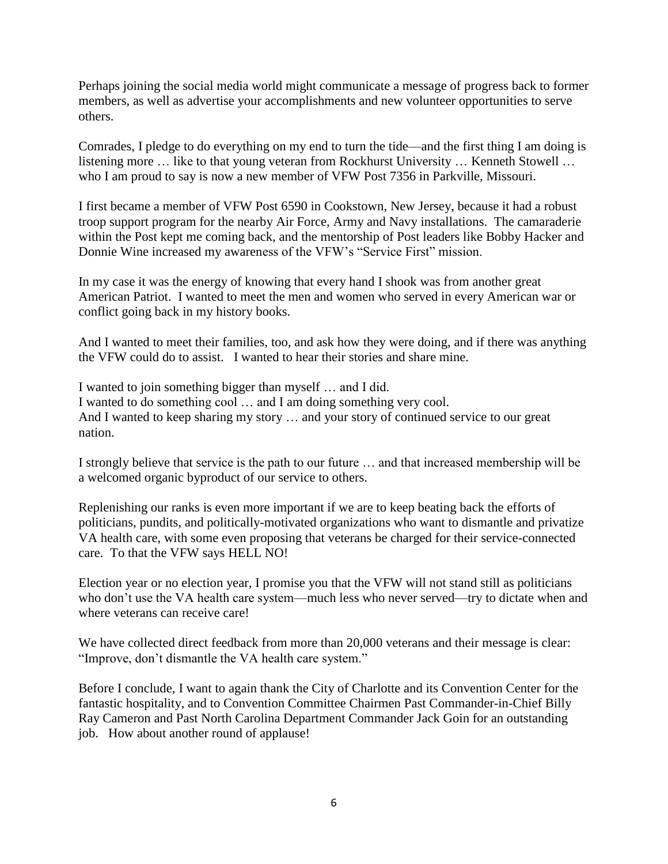Perhaps joining the social media world might communicate a message of progress back to former members, as well as advertise your accomplishments and new volunteer opportunities to serve others.

Comrades, I pledge to do everything on my end to turn the tide—and the first thing I am doing is listening more … like to that young veteran from Rockhurst University … Kenneth Stowell … who I am proud to say is now a new member of VFW Post 7356 in Parkville, Missouri.

I first became a member of VFW Post 6590 in Cookstown, New Jersey, because it had a robust troop support program for the nearby Air Force, Army and Navy installations. The camaraderie within the Post kept me coming back, and the mentorship of Post leaders like Bobby Hacker and Donnie Wine increased my awareness of the VFW's "Service First" mission.

In my case it was the energy of knowing that every hand I shook was from another great American Patriot. I wanted to meet the men and women who served in every American war or conflict going back in my history books.

And I wanted to meet their families, too, and ask how they were doing, and if there was anything the VFW could do to assist. I wanted to hear their stories and share mine.

I wanted to join something bigger than myself … and I did. I wanted to do something cool … and I am doing something very cool. And I wanted to keep sharing my story … and your story of continued service to our great nation.

I strongly believe that service is the path to our future … and that increased membership will be a welcomed organic byproduct of our service to others.

Replenishing our ranks is even more important if we are to keep beating back the efforts of politicians, pundits, and politically-motivated organizations who want to dismantle and privatize VA health care, with some even proposing that veterans be charged for their service-connected care. To that the VFW says HELL NO!

Election year or no election year, I promise you that the VFW will not stand still as politicians who don't use the VA health care system—much less who never served—try to dictate when and where veterans can receive care!

We have collected direct feedback from more than 20,000 veterans and their message is clear: "Improve, don't dismantle the VA health care system."

Before I conclude, I want to again thank the City of Charlotte and its Convention Center for the fantastic hospitality, and to Convention Committee Chairmen Past Commander-in-Chief Billy Ray Cameron and Past North Carolina Department Commander Jack Goin for an outstanding job. How about another round of applause!